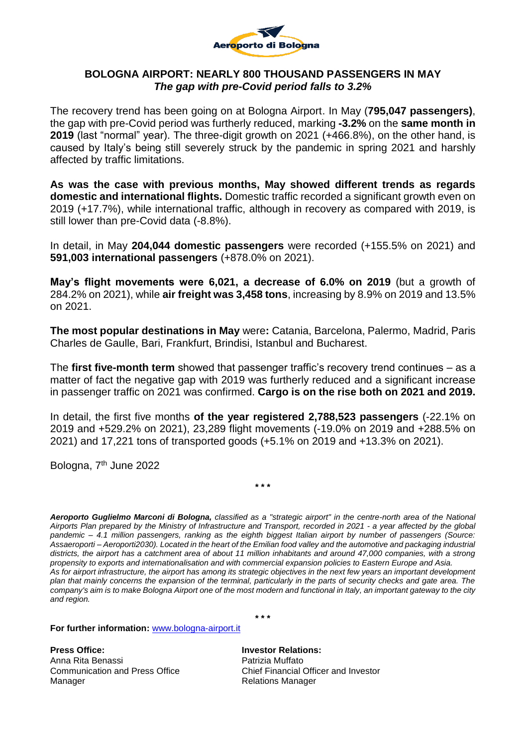

## **BOLOGNA AIRPORT: NEARLY 800 THOUSAND PASSENGERS IN MAY** *The gap with pre-Covid period falls to 3.2%*

The recovery trend has been going on at Bologna Airport. In May (**795,047 passengers)**, the gap with pre-Covid period was furtherly reduced, marking **-3.2%** on the **same month in 2019** (last "normal" year). The three-digit growth on 2021 (+466.8%), on the other hand, is caused by Italy's being still severely struck by the pandemic in spring 2021 and harshly affected by traffic limitations.

**As was the case with previous months, May showed different trends as regards domestic and international flights.** Domestic traffic recorded a significant growth even on 2019 (+17.7%), while international traffic, although in recovery as compared with 2019, is still lower than pre-Covid data (-8.8%).

In detail, in May **204,044 domestic passengers** were recorded (+155.5% on 2021) and **591,003 international passengers** (+878.0% on 2021).

**May's flight movements were 6,021, a decrease of 6.0% on 2019** (but a growth of 284.2% on 2021), while **air freight was 3,458 tons**, increasing by 8.9% on 2019 and 13.5% on 2021.

**The most popular destinations in May** were**:** Catania, Barcelona, Palermo, Madrid, Paris Charles de Gaulle, Bari, Frankfurt, Brindisi, Istanbul and Bucharest.

The **first five-month term** showed that passenger traffic's recovery trend continues – as a matter of fact the negative gap with 2019 was furtherly reduced and a significant increase in passenger traffic on 2021 was confirmed. **Cargo is on the rise both on 2021 and 2019.**

In detail, the first five months **of the year registered 2,788,523 passengers** (-22.1% on 2019 and +529.2% on 2021), 23,289 flight movements (-19.0% on 2019 and +288.5% on 2021) and 17,221 tons of transported goods (+5.1% on 2019 and +13.3% on 2021).

**\* \* \***

Bologna, 7<sup>th</sup> June 2022

*Aeroporto Guglielmo Marconi di Bologna, classified as a "strategic airport" in the centre-north area of the National Airports Plan prepared by the Ministry of Infrastructure and Transport, recorded in 2021 - a year affected by the global pandemic – 4.1 million passengers, ranking as the eighth biggest Italian airport by number of passengers (Source: Assaeroporti – Aeroporti2030). Located in the heart of the Emilian food valley and the automotive and packaging industrial districts, the airport has a catchment area of about 11 million inhabitants and around 47,000 companies, with a strong propensity to exports and internationalisation and with commercial expansion policies to Eastern Europe and Asia. As for airport infrastructure, the airport has among its strategic objectives in the next few years an important development plan that mainly concerns the expansion of the terminal, particularly in the parts of security checks and gate area. The company's aim is to make Bologna Airport one of the most modern and functional in Italy, an important gateway to the city and region.*

**\* \* \***

**For further information:** [www.bologna-airport.it](http://www.bologna-airport.it/)

**Press Office: Investor Relations:** Anna Rita Benassi **Patrizia Muffato** Manager **Manager** Relations Manager

Communication and Press Office Chief Financial Officer and Investor